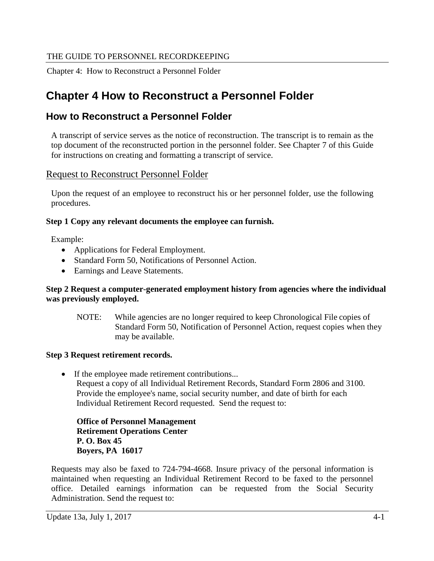Chapter 4: How to Reconstruct a Personnel Folder

# **Chapter 4 How to Reconstruct a Personnel Folder**

# **How to Reconstruct a Personnel Folder**

A transcript of service serves as the notice of reconstruction. The transcript is to remain as the top document of the reconstructed portion in the personnel folder. See Chapter 7 of this Guide for instructions on creating and formatting a transcript of service.

# Request to Reconstruct Personnel Folder

Upon the request of an employee to reconstruct his or her personnel folder, use the following procedures.

### **Step 1 Copy any relevant documents the employee can furnish.**

Example:

- Applications for Federal Employment.
- Standard Form 50, Notifications of Personnel Action.
- Earnings and Leave Statements.

#### **Step 2 Request a computer-generated employment history from agencies where the individual was previously employed.**

NOTE: While agencies are no longer required to keep Chronological File copies of Standard Form 50, Notification of Personnel Action, request copies when they may be available.

### **Step 3 Request retirement records.**

• If the employee made retirement contributions... Request a copy of all Individual Retirement Records, Standard Form 2806 and 3100. Provide the employee's name, social security number, and date of birth for each Individual Retirement Record requested. Send the request to:

**Office of Personnel Management Retirement Operations Center P. O. Box 45 Boyers, PA 16017**

Requests may also be faxed to 724-794-4668. Insure privacy of the personal information is maintained when requesting an Individual Retirement Record to be faxed to the personnel office. Detailed earnings information can be requested from the Social Security Administration. Send the request to: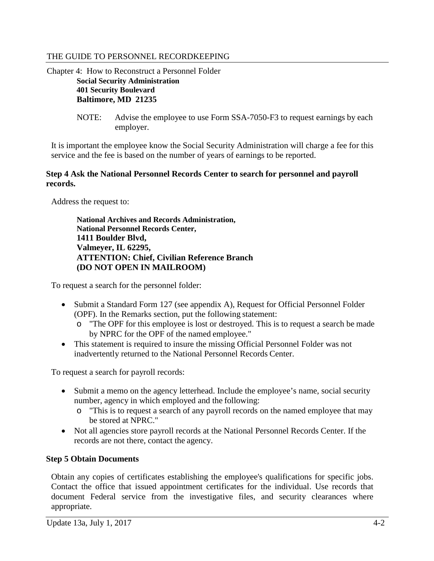Chapter 4: How to Reconstruct a Personnel Folder **Social Security Administration 401 Security Boulevard Baltimore, MD 21235**

> NOTE: Advise the employee to use Form SSA-7050-F3 to request earnings by each employer.

It is important the employee know the Social Security Administration will charge a fee for this service and the fee is based on the number of years of earnings to be reported.

#### **Step 4 Ask the National Personnel Records Center to search for personnel and payroll records.**

Address the request to:

**National Archives and Records Administration, National Personnel Records Center, 1411 Boulder Blvd, Valmeyer, IL 62295, ATTENTION: Chief, Civilian Reference Branch (DO NOT OPEN IN MAILROOM)**

To request a search for the personnel folder:

- Submit a Standard Form 127 (see appendix A), Request for Official Personnel Folder (OPF). In the Remarks section, put the following statement:
	- o "The OPF for this employee is lost or destroyed. This is to request a search be made by NPRC for the OPF of the named employee."
- This statement is required to insure the missing Official Personnel Folder was not inadvertently returned to the National Personnel Records Center.

To request a search for payroll records:

- Submit a memo on the agency letterhead. Include the employee's name, social security number, agency in which employed and the following:
	- o "This is to request a search of any payroll records on the named employee that may be stored at NPRC."
- Not all agencies store payroll records at the National Personnel Records Center. If the records are not there, contact the agency.

### **Step 5 Obtain Documents**

Obtain any copies of certificates establishing the employee's qualifications for specific jobs. Contact the office that issued appointment certificates for the individual. Use records that document Federal service from the investigative files, and security clearances where appropriate.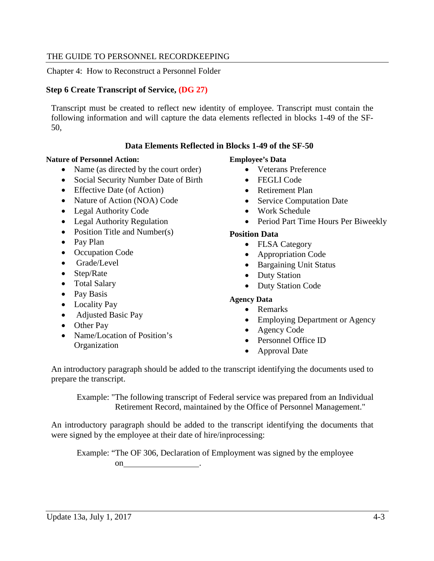Chapter 4: How to Reconstruct a Personnel Folder

#### **Step 6 Create Transcript of Service, (DG 27)**

Transcript must be created to reflect new identity of employee. Transcript must contain the following information and will capture the data elements reflected in blocks 1-49 of the SF-50,

#### **Data Elements Reflected in Blocks 1-49 of the SF-50**

#### **Nature of Personnel Action:**

- Name (as directed by the court order)
- Social Security Number Date of Birth
- Effective Date (of Action)
- Nature of Action (NOA) Code
- Legal Authority Code
- Legal Authority Regulation
- Position Title and Number(s)
- Pay Plan
- Occupation Code
- Grade/Level
- Step/Rate
- Total Salary
- Pay Basis
- Locality Pay
- Adjusted Basic Pay
- Other Pay
- Name/Location of Position's **Organization**

#### **Employee's Data**

- Veterans Preference
- FEGLI Code
- Retirement Plan
- Service Computation Date
- Work Schedule
- Period Part Time Hours Per Biweekly

#### **Position Data**

- FLSA Category
- Appropriation Code
- Bargaining Unit Status
- Duty Station
- Duty Station Code

#### **Agency Data**

- Remarks
- Employing Department or Agency
- Agency Code
- Personnel Office ID
- Approval Date

An introductory paragraph should be added to the transcript identifying the documents used to prepare the transcript.

Example: "The following transcript of Federal service was prepared from an Individual Retirement Record, maintained by the Office of Personnel Management."

An introductory paragraph should be added to the transcript identifying the documents that were signed by the employee at their date of hire/inprocessing:

Example: "The OF 306, Declaration of Employment was signed by the employee on .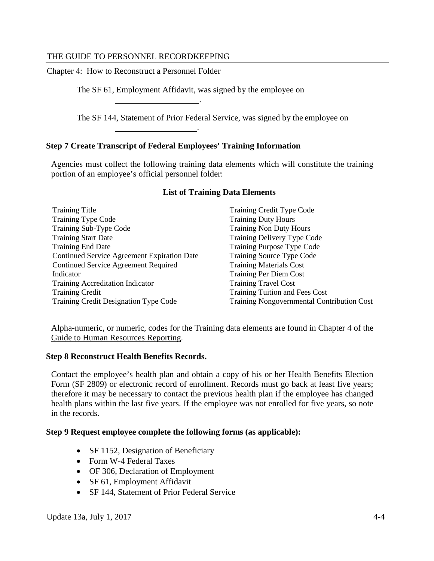Chapter 4: How to Reconstruct a Personnel Folder

The SF 61, Employment Affidavit, was signed by the employee on

The SF 144, Statement of Prior Federal Service, was signed by the employee on

#### **Step 7 Create Transcript of Federal Employees' Training Information**

.

.

Agencies must collect the following training data elements which will constitute the training portion of an employee's official personnel folder:

| <b>Training Title</b>                       | Training Credit Type Code                         |
|---------------------------------------------|---------------------------------------------------|
| <b>Training Type Code</b>                   | <b>Training Duty Hours</b>                        |
| Training Sub-Type Code                      | <b>Training Non Duty Hours</b>                    |
| <b>Training Start Date</b>                  | Training Delivery Type Code                       |
| <b>Training End Date</b>                    | Training Purpose Type Code                        |
| Continued Service Agreement Expiration Date | Training Source Type Code                         |
| <b>Continued Service Agreement Required</b> | <b>Training Materials Cost</b>                    |
| Indicator                                   | <b>Training Per Diem Cost</b>                     |
| Training Accreditation Indicator            | <b>Training Travel Cost</b>                       |
| <b>Training Credit</b>                      | <b>Training Tuition and Fees Cost</b>             |
| Training Credit Designation Type Code       | <b>Training Nongovernmental Contribution Cost</b> |

#### **List of Training Data Elements**

Alpha-numeric, or numeric, codes for the Training data elements are found in Chapter 4 of the [Guide to Human Resources Reporting.](http://www.opm.gov/feddata/guidance.asp)

#### **Step 8 Reconstruct Health Benefits Records.**

Contact the employee's health plan and obtain a copy of his or her Health Benefits Election Form (SF 2809) or electronic record of enrollment. Records must go back at least five years; therefore it may be necessary to contact the previous health plan if the employee has changed health plans within the last five years. If the employee was not enrolled for five years, so note in the records.

#### **Step 9 Request employee complete the following forms (as applicable):**

- SF 1152, Designation of Beneficiary
- Form W-4 Federal Taxes
- OF 306, Declaration of Employment
- SF 61, Employment Affidavit
- SF 144, Statement of Prior Federal Service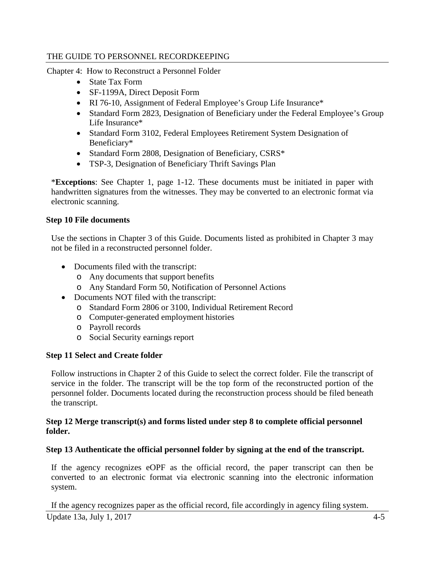Chapter 4: How to Reconstruct a Personnel Folder

- State Tax Form
- SF-1199A, Direct Deposit Form
- RI 76-10, Assignment of Federal Employee's Group Life Insurance\*
- Standard Form 2823, Designation of Beneficiary under the Federal Employee's Group Life Insurance\*
- Standard Form 3102, Federal Employees Retirement System Designation of Beneficiary\*
- Standard Form 2808, Designation of Beneficiary, CSRS\*
- TSP-3, Designation of Beneficiary Thrift Savings Plan

\***Exceptions**: See Chapter 1, page 1-12. These documents must be initiated in paper with handwritten signatures from the witnesses. They may be converted to an electronic format via electronic scanning.

### **Step 10 File documents**

Use the sections in Chapter 3 of this Guide. Documents listed as prohibited in Chapter 3 may not be filed in a reconstructed personnel folder.

- Documents filed with the transcript:
	- o Any documents that support benefits
	- o Any Standard Form 50, Notification of Personnel Actions
- Documents NOT filed with the transcript:
	- o Standard Form 2806 or 3100, Individual Retirement Record
	- o Computer-generated employment histories
	- o Payroll records
	- o Social Security earnings report

### **Step 11 Select and Create folder**

Follow instructions in Chapter 2 of this Guide to select the correct folder. File the transcript of service in the folder. The transcript will be the top form of the reconstructed portion of the personnel folder. Documents located during the reconstruction process should be filed beneath the transcript.

### **Step 12 Merge transcript(s) and forms listed under step 8 to complete official personnel folder.**

### **Step 13 Authenticate the official personnel folder by signing at the end of the transcript.**

If the agency recognizes eOPF as the official record, the paper transcript can then be converted to an electronic format via electronic scanning into the electronic information system.

Update 13a, July 1, 2017  $4-5$ If the agency recognizes paper as the official record, file accordingly in agency filing system.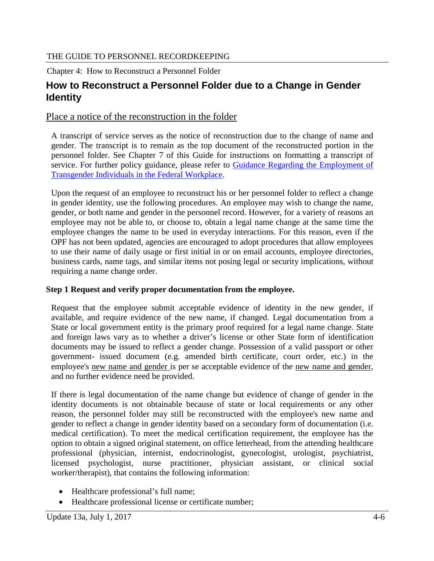Chapter 4: How to Reconstruct a Personnel Folder

# **How to Reconstruct a Personnel Folder due to a Change in Gender Identity**

# Place a notice of the reconstruction in the folder

A transcript of service serves as the notice of reconstruction due to the change of name and gender. The transcript is to remain as the top document of the reconstructed portion in the personnel folder. See Chapter 7 of this Guide for instructions on formatting a transcript of [service. For further policy guidance, please refer to Guidance Regarding the Employment of](https://www.opm.gov/policy-data-oversight/diversity-and-inclusion/reference-materials/gender-identity-guidance/)  [Transgender Individuals in the Federal Workplace.](https://www.opm.gov/policy-data-oversight/diversity-and-inclusion/reference-materials/gender-identity-guidance/)

Upon the request of an employee to reconstruct his or her personnel folder to reflect a change in gender identity, use the following procedures. An employee may wish to change the name, gender, or both name and gender in the personnel record. However, for a variety of reasons an employee may not be able to, or choose to, obtain a legal name change at the same time the employee changes the name to be used in everyday interactions. For this reason, even if the OPF has not been updated, agencies are encouraged to adopt procedures that allow employees to use their name of daily usage or first initial in or on email accounts, employee directories, business cards, name tags, and similar items not posing legal or security implications, without requiring a name change order.

### **Step 1 Request and verify proper documentation from the employee.**

Request that the employee submit acceptable evidence of identity in the new gender, if available, and require evidence of the new name, if changed. Legal documentation from a State or local government entity is the primary proof required for a legal name change. State and foreign laws vary as to whether a driver's license or other State form of identification documents may be issued to reflect a gender change. Possession of a valid passport or other government- issued document (e.g. amended birth certificate, court order, etc.) in the employee's new name and gender is per se acceptable evidence of the new name and gender, and no further evidence need be provided.

If there is legal documentation of the name change but evidence of change of gender in the identity documents is not obtainable because of state or local requirements or any other reason, the personnel folder may still be reconstructed with the employee's new name and gender to reflect a change in gender identity based on a secondary form of documentation (i.e. medical certification). To meet the medical certification requirement, the employee has the option to obtain a signed original statement, on office letterhead, from the attending healthcare professional (physician, internist, endocrinologist, gynecologist, urologist, psychiatrist, licensed psychologist, nurse practitioner, physician assistant, or clinical social worker/therapist), that contains the following information:

- Healthcare professional's full name;
- Healthcare professional license or certificate number;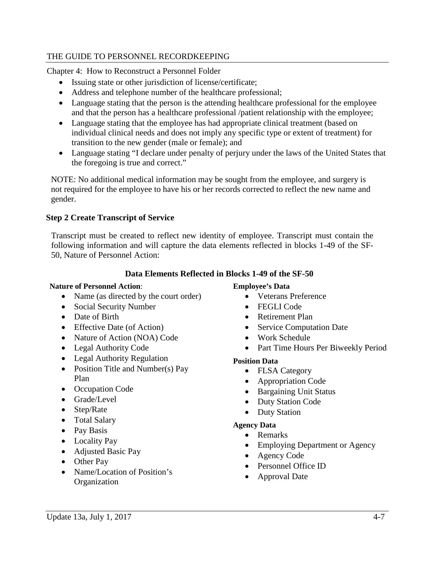Chapter 4: How to Reconstruct a Personnel Folder

- Issuing state or other jurisdiction of license/certificate;
- Address and telephone number of the healthcare professional;
- Language stating that the person is the attending healthcare professional for the employee and that the person has a healthcare professional /patient relationship with the employee;
- Language stating that the employee has had appropriate clinical treatment (based on individual clinical needs and does not imply any specific type or extent of treatment) for transition to the new gender (male or female); and
- Language stating "I declare under penalty of perjury under the laws of the United States that the foregoing is true and correct."

NOTE: No additional medical information may be sought from the employee, and surgery is not required for the employee to have his or her records corrected to reflect the new name and gender.

### **Step 2 Create Transcript of Service**

Transcript must be created to reflect new identity of employee. Transcript must contain the following information and will capture the data elements reflected in blocks 1-49 of the SF-50, Nature of Personnel Action:

### **Data Elements Reflected in Blocks 1-49 of the SF-50**

### **Nature of Personnel Action**:

- Name (as directed by the court order)
- Social Security Number
- Date of Birth
- Effective Date (of Action)
- Nature of Action (NOA) Code
- Legal Authority Code
- Legal Authority Regulation
- Position Title and Number(s) Pay Plan
- Occupation Code
- Grade/Level
- Step/Rate
- Total Salary
- Pay Basis
- Locality Pay
- Adjusted Basic Pay
- Other Pay
- Name/Location of Position's **Organization**

### **Employee's Data**

- Veterans Preference
- FEGLI Code
- Retirement Plan
- Service Computation Date
- Work Schedule
- Part Time Hours Per Biweekly Period

### **Position Data**

- FLSA Category
- Appropriation Code
- Bargaining Unit Status
- Duty Station Code
- Duty Station

### **Agency Data**

- Remarks
- Employing Department or Agency
- Agency Code
- Personnel Office ID
- Approval Date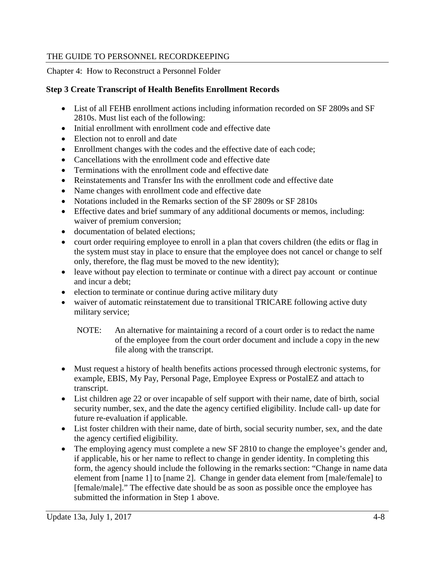Chapter 4: How to Reconstruct a Personnel Folder

### **Step 3 Create Transcript of Health Benefits Enrollment Records**

- List of all FEHB enrollment actions including information recorded on SF 2809s and SF 2810s. Must list each of the following:
- Initial enrollment with enrollment code and effective date
- Election not to enroll and date
- Enrollment changes with the codes and the effective date of each code;
- Cancellations with the enrollment code and effective date
- Terminations with the enrollment code and effective date
- Reinstatements and Transfer Ins with the enrollment code and effective date
- Name changes with enrollment code and effective date
- Notations included in the Remarks section of the SF 2809s or SF 2810s
- Effective dates and brief summary of any additional documents or memos, including: waiver of premium conversion;
- documentation of belated elections:
- court order requiring employee to enroll in a plan that covers children (the edits or flag in the system must stay in place to ensure that the employee does not cancel or change to self only, therefore, the flag must be moved to the new identity);
- leave without pay election to terminate or continue with a direct pay account or continue and incur a debt;
- election to terminate or continue during active military duty
- waiver of automatic reinstatement due to transitional TRICARE following active duty military service;
	- NOTE: An alternative for maintaining a record of a court order is to redact the name of the employee from the court order document and include a copy in the new file along with the transcript.
- Must request a history of health benefits actions processed through electronic systems, for example, EBIS, My Pay, Personal Page, Employee Express or PostalEZ and attach to transcript.
- List children age 22 or over incapable of self support with their name, date of birth, social security number, sex, and the date the agency certified eligibility. Include call- up date for future re-evaluation if applicable.
- List foster children with their name, date of birth, social security number, sex, and the date the agency certified eligibility.
- The employing agency must complete a new SF 2810 to change the employee's gender and, if applicable, his or her name to reflect to change in gender identity. In completing this form, the agency should include the following in the remarks section: "Change in name data element from [name 1] to [name 2]. Change in gender data element from [male/female] to [female/male]." The effective date should be as soon as possible once the employee has submitted the information in Step 1 above.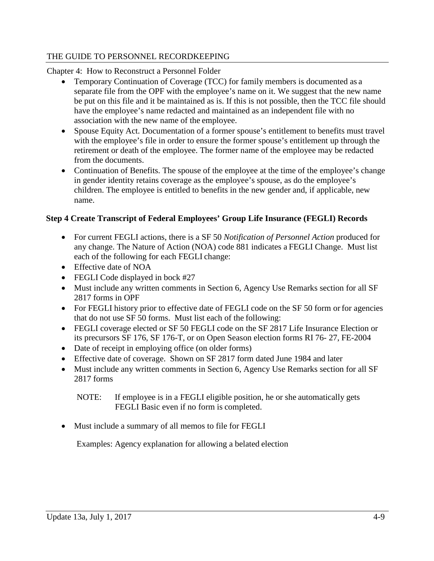Chapter 4: How to Reconstruct a Personnel Folder

- Temporary Continuation of Coverage (TCC) for family members is documented as a separate file from the OPF with the employee's name on it. We suggest that the new name be put on this file and it be maintained as is. If this is not possible, then the TCC file should have the employee's name redacted and maintained as an independent file with no association with the new name of the employee.
- Spouse Equity Act. Documentation of a former spouse's entitlement to benefits must travel with the employee's file in order to ensure the former spouse's entitlement up through the retirement or death of the employee. The former name of the employee may be redacted from the documents.
- Continuation of Benefits. The spouse of the employee at the time of the employee's change in gender identity retains coverage as the employee's spouse, as do the employee's children. The employee is entitled to benefits in the new gender and, if applicable, new name.

### **Step 4 Create Transcript of Federal Employees' Group Life Insurance (FEGLI) Records**

- For current FEGLI actions, there is a SF 50 *Notification of Personnel Action* produced for any change. The Nature of Action (NOA) code 881 indicates a FEGLI Change. Must list each of the following for each FEGLI change:
- Effective date of NOA
- FEGLI Code displayed in bock #27
- Must include any written comments in Section 6, Agency Use Remarks section for all SF 2817 forms in OPF
- For FEGLI history prior to effective date of FEGLI code on the SF 50 form or for agencies that do not use SF 50 forms. Must list each of the following:
- FEGLI coverage elected or SF 50 FEGLI code on the SF 2817 Life Insurance Election or its precursors SF 176, SF 176-T, or on Open Season election forms RI 76- 27, FE-2004
- Date of receipt in employing office (on older forms)
- Effective date of coverage. Shown on SF 2817 form dated June 1984 and later
- Must include any written comments in Section 6, Agency Use Remarks section for all SF 2817 forms

NOTE: If employee is in a FEGLI eligible position, he or she automatically gets FEGLI Basic even if no form is completed.

• Must include a summary of all memos to file for FEGLI

Examples: Agency explanation for allowing a belated election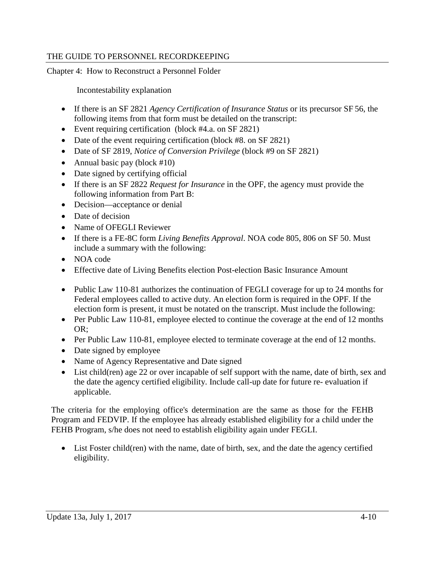Chapter 4: How to Reconstruct a Personnel Folder

Incontestability explanation

- If there is an SF 2821 *Agency Certification of Insurance Status* or its precursor SF 56, the following items from that form must be detailed on the transcript:
- Event requiring certification (block #4.a. on SF 2821)
- Date of the event requiring certification (block #8. on SF 2821)
- Date of SF 2819, *Notice of Conversion Privilege* (block #9 on SF 2821)
- Annual basic pay (block #10)
- Date signed by certifying official
- If there is an SF 2822 *Request for Insurance* in the OPF, the agency must provide the following information from Part B:
- Decision—acceptance or denial
- Date of decision
- Name of OFEGLI Reviewer
- If there is a FE-8C form *Living Benefits Approval*. NOA code 805, 806 on SF 50. Must include a summary with the following:
- NOA code
- Effective date of Living Benefits election Post-election Basic Insurance Amount
- Public Law 110-81 authorizes the continuation of FEGLI coverage for up to 24 months for Federal employees called to active duty. An election form is required in the OPF. If the election form is present, it must be notated on the transcript. Must include the following:
- Per Public Law 110-81, employee elected to continue the coverage at the end of 12 months OR;
- Per Public Law 110-81, employee elected to terminate coverage at the end of 12 months.
- Date signed by employee
- Name of Agency Representative and Date signed
- List child(ren) age 22 or over incapable of self support with the name, date of birth, sex and the date the agency certified eligibility. Include call-up date for future re- evaluation if applicable.

The criteria for the employing office's determination are the same as those for the FEHB Program and FEDVIP. If the employee has already established eligibility for a child under the FEHB Program, s/he does not need to establish eligibility again under FEGLI.

• List Foster child(ren) with the name, date of birth, sex, and the date the agency certified eligibility.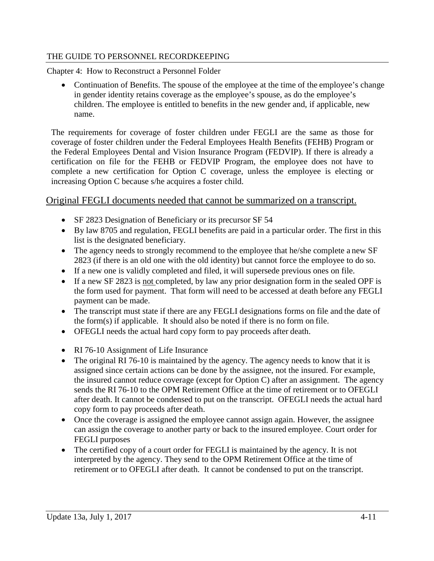Chapter 4: How to Reconstruct a Personnel Folder

• Continuation of Benefits. The spouse of the employee at the time of the employee's change in gender identity retains coverage as the employee's spouse, as do the employee's children. The employee is entitled to benefits in the new gender and, if applicable, new name.

The requirements for coverage of foster children under FEGLI are the same as those for coverage of foster children under the Federal Employees Health Benefits (FEHB) Program or the Federal Employees Dental and Vision Insurance Program (FEDVIP). If there is already a certification on file for the FEHB or FEDVIP Program, the employee does not have to complete a new certification for Option C coverage, unless the employee is electing or increasing Option C because s/he acquires a foster child.

# Original FEGLI documents needed that cannot be summarized on a transcript.

- SF 2823 Designation of Beneficiary or its precursor SF 54
- By law 8705 and regulation, FEGLI benefits are paid in a particular order. The first in this list is the designated beneficiary.
- The agency needs to strongly recommend to the employee that he/she complete a new SF 2823 (if there is an old one with the old identity) but cannot force the employee to do so.
- If a new one is validly completed and filed, it will supersede previous ones on file.
- If a new SF 2823 is not completed, by law any prior designation form in the sealed OPF is the form used for payment. That form will need to be accessed at death before any FEGLI payment can be made.
- The transcript must state if there are any FEGLI designations forms on file and the date of the form(s) if applicable. It should also be noted if there is no form on file.
- OFEGLI needs the actual hard copy form to pay proceeds after death.
- RI 76-10 Assignment of Life Insurance
- The original RI 76-10 is maintained by the agency. The agency needs to know that it is assigned since certain actions can be done by the assignee, not the insured. For example, the insured cannot reduce coverage (except for Option C) after an assignment. The agency sends the RI 76-10 to the OPM Retirement Office at the time of retirement or to OFEGLI after death. It cannot be condensed to put on the transcript. OFEGLI needs the actual hard copy form to pay proceeds after death.
- Once the coverage is assigned the employee cannot assign again. However, the assignee can assign the coverage to another party or back to the insured employee. Court order for FEGLI purposes
- The certified copy of a court order for FEGLI is maintained by the agency. It is not interpreted by the agency. They send to the OPM Retirement Office at the time of retirement or to OFEGLI after death. It cannot be condensed to put on the transcript.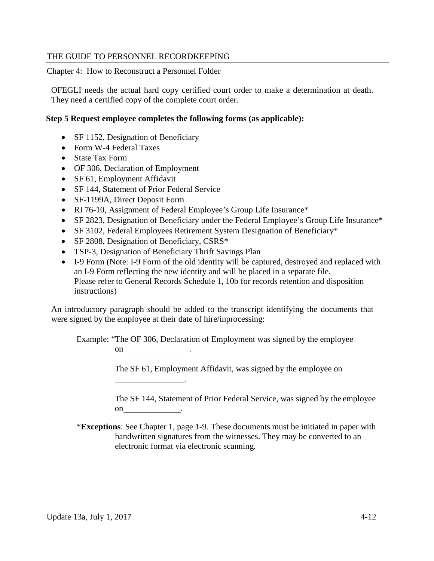Chapter 4: How to Reconstruct a Personnel Folder

OFEGLI needs the actual hard copy certified court order to make a determination at death. They need a certified copy of the complete court order.

#### **Step 5 Request employee completes the following forms (as applicable):**

- SF 1152, Designation of Beneficiary
- Form W-4 Federal Taxes
- State Tax Form
- OF 306, Declaration of Employment
- SF 61, Employment Affidavit
- SF 144, Statement of Prior Federal Service
- SF-1199A, Direct Deposit Form
- RI 76-10, Assignment of Federal Employee's Group Life Insurance\*
- SF 2823, Designation of Beneficiary under the Federal Employee's Group Life Insurance\*
- SF 3102, Federal Employees Retirement System Designation of Beneficiary\*
- SF 2808, Designation of Beneficiary, CSRS\*
- TSP-3, Designation of Beneficiary Thrift Savings Plan

.

• I-9 Form (Note: I-9 Form of the old identity will be captured, destroyed and replaced with an I-9 Form reflecting the new identity and will be placed in a separate file. Please refer to General Records Schedule 1, 10b for records retention and disposition instructions)

An introductory paragraph should be added to the transcript identifying the documents that were signed by the employee at their date of hire/inprocessing:

Example: "The OF 306, Declaration of Employment was signed by the employee on .

The SF 61, Employment Affidavit, was signed by the employee on

The SF 144, Statement of Prior Federal Service, was signed by the employee on .

\***Exceptions**: See Chapter 1, page 1-9. These documents must be initiated in paper with handwritten signatures from the witnesses. They may be converted to an electronic format via electronic scanning.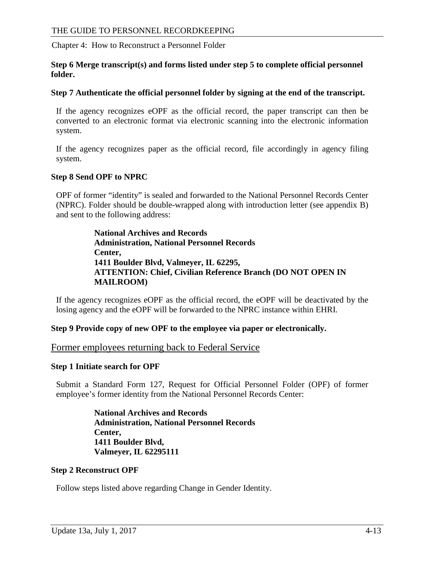Chapter 4: How to Reconstruct a Personnel Folder

#### **Step 6 Merge transcript(s) and forms listed under step 5 to complete official personnel folder.**

#### **Step 7 Authenticate the official personnel folder by signing at the end of the transcript.**

If the agency recognizes eOPF as the official record, the paper transcript can then be converted to an electronic format via electronic scanning into the electronic information system.

If the agency recognizes paper as the official record, file accordingly in agency filing system.

#### **Step 8 Send OPF to NPRC**

OPF of former "identity" is sealed and forwarded to the National Personnel Records Center (NPRC). Folder should be double-wrapped along with introduction letter (see appendix B) and sent to the following address:

> **National Archives and Records Administration, National Personnel Records Center, 1411 Boulder Blvd, Valmeyer, IL 62295, ATTENTION: Chief, Civilian Reference Branch (DO NOT OPEN IN MAILROOM)**

If the agency recognizes eOPF as the official record, the eOPF will be deactivated by the losing agency and the eOPF will be forwarded to the NPRC instance within EHRI.

#### **Step 9 Provide copy of new OPF to the employee via paper or electronically.**

Former employees returning back to Federal Service

#### **Step 1 Initiate search for OPF**

Submit a Standard Form 127, Request for Official Personnel Folder (OPF) of former employee's former identity from the National Personnel Records Center:

> **National Archives and Records Administration, National Personnel Records Center, 1411 Boulder Blvd, Valmeyer, IL 62295111**

#### **Step 2 Reconstruct OPF**

Follow steps listed above regarding Change in Gender Identity.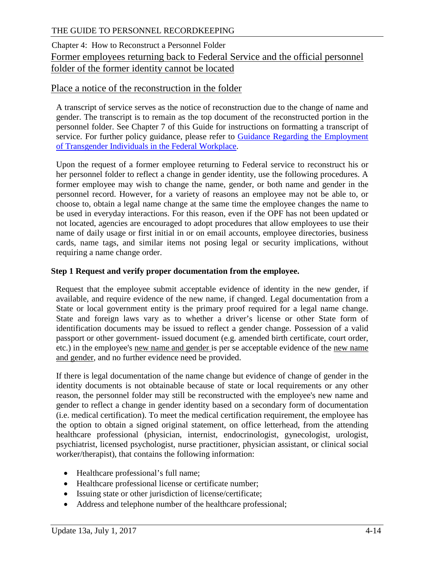# Chapter 4: How to Reconstruct a Personnel Folder Former employees returning back to Federal Service and the official personnel folder of the former identity cannot be located

### Place a notice of the reconstruction in the folder

A transcript of service serves as the notice of reconstruction due to the change of name and gender. The transcript is to remain as the top document of the reconstructed portion in the personnel folder. See Chapter 7 of this Guide for instructions on formatting a transcript of service. For further policy guidance, please refer to Guidance Regarding the Employment [of Transgender Individuals in the Federal Workplace.](https://www.opm.gov/policy-data-oversight/diversity-and-inclusion/reference-materials/gender-identity-guidance/)

Upon the request of a former employee returning to Federal service to reconstruct his or her personnel folder to reflect a change in gender identity, use the following procedures. A former employee may wish to change the name, gender, or both name and gender in the personnel record. However, for a variety of reasons an employee may not be able to, or choose to, obtain a legal name change at the same time the employee changes the name to be used in everyday interactions. For this reason, even if the OPF has not been updated or not located, agencies are encouraged to adopt procedures that allow employees to use their name of daily usage or first initial in or on email accounts, employee directories, business cards, name tags, and similar items not posing legal or security implications, without requiring a name change order.

#### **Step 1 Request and verify proper documentation from the employee.**

Request that the employee submit acceptable evidence of identity in the new gender, if available, and require evidence of the new name, if changed. Legal documentation from a State or local government entity is the primary proof required for a legal name change. State and foreign laws vary as to whether a driver's license or other State form of identification documents may be issued to reflect a gender change. Possession of a valid passport or other government- issued document (e.g. amended birth certificate, court order, etc.) in the employee's new name and gender is per se acceptable evidence of the new name and gender, and no further evidence need be provided.

If there is legal documentation of the name change but evidence of change of gender in the identity documents is not obtainable because of state or local requirements or any other reason, the personnel folder may still be reconstructed with the employee's new name and gender to reflect a change in gender identity based on a secondary form of documentation (i.e. medical certification). To meet the medical certification requirement, the employee has the option to obtain a signed original statement, on office letterhead, from the attending healthcare professional (physician, internist, endocrinologist, gynecologist, urologist, psychiatrist, licensed psychologist, nurse practitioner, physician assistant, or clinical social worker/therapist), that contains the following information:

- Healthcare professional's full name;
- Healthcare professional license or certificate number;
- Issuing state or other jurisdiction of license/certificate;
- Address and telephone number of the healthcare professional;